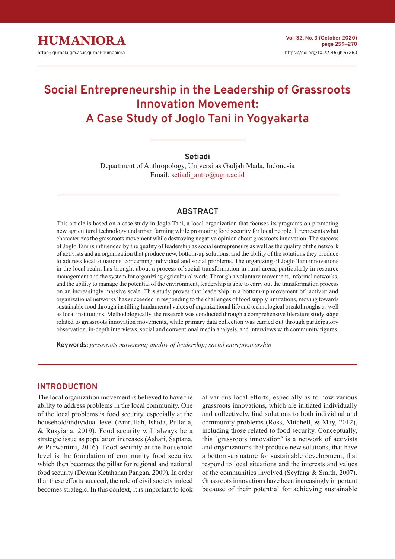# **Social Entrepreneurship in the Leadership of Grassroots Innovation Movement: A Case Study of Joglo Tani in Yogyakarta**

## **Setiadi**

Department of Anthropology, Universitas Gadjah Mada, Indonesia Email: setiadi\_antro@ugm.ac.id

## **ABSTRACT**

This article is based on a case study in Joglo Tani, a local organization that focuses its programs on promoting new agricultural technology and urban farming while promoting food security for local people. It represents what characterizes the grassroots movement while destroying negative opinion about grassroots innovation. The success of Joglo Tani is influenced by the quality of leadership as social entrepreneurs as well as the quality of the network of activists and an organization that produce new, bottom-up solutions, and the ability of the solutions they produce to address local situations, concerning individual and social problems. The organizing of Joglo Tani innovations in the local realm has brought about a process of social transformation in rural areas, particularly in resource management and the system for organizing agricultural work. Through a voluntary movement, informal networks, and the ability to manage the potential of the environment, leadership is able to carry out the transformation process on an increasingly massive scale. This study proves that leadership in a bottom-up movement of 'activist and organizational networks' has succeeded in responding to the challenges of food supply limitations, moving towards sustainable food through instilling fundamental values of organizational life and technological breakthroughs as well as local institutions. Methodologically, the research was conducted through a comprehensive literature study stage related to grassroots innovation movements, while primary data collection was carried out through participatory observation, in-depth interviews, social and conventional media analysis, and interviews with community figures.

**Keywords:** *grassroots movement; quality of leadership; social entrepreneurship*

## **INTRODUCTION**

The local organization movement is believed to have the ability to address problems in the local community. One of the local problems is food security, especially at the household/individual level (Amrullah, Ishida, Pullaila, & Rusyiana, 2019). Food security will always be a strategic issue as population increases (Ashari, Saptana, & Purwantini, 2016). Food security at the household level is the foundation of community food security, which then becomes the pillar for regional and national food security (Dewan Ketahanan Pangan, 2009)*.* In order that these efforts succeed, the role of civil society indeed becomes strategic. In this context, it is important to look

at various local efforts, especially as to how various grassroots innovations, which are initiated individually and collectively, find solutions to both individual and community problems (Ross, Mitchell, & May, 2012), including those related to food security. Conceptually, this 'grassroots innovation' is a network of activists and organizations that produce new solutions, that have a bottom-up nature for sustainable development, that respond to local situations and the interests and values of the communities involved (Seyfang & Smith, 2007). Grassroots innovations have been increasingly important because of their potential for achieving sustainable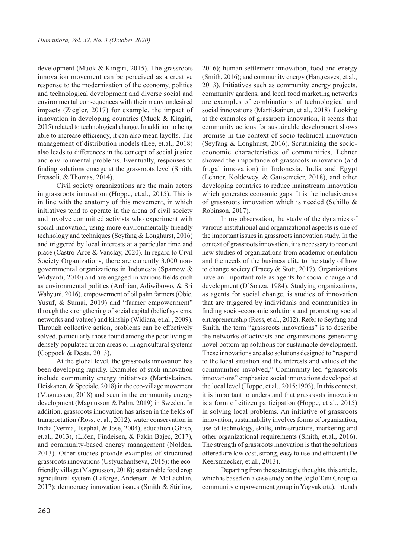development (Muok & Kingiri, 2015). The grassroots innovation movement can be perceived as a creative response to the modernization of the economy, politics and technological development and diverse social and environmental consequences with their many undesired impacts (Ziegler, 2017) for example, the impact of innovation in developing countries (Muok & Kingiri, 2015) related to technological change. In addition to being able to increase efficiency, it can also mean layoffs. The management of distribution models (Lee, et.al., 2018) also leads to differences in the concept of social justice and environmental problems. Eventually, responses to finding solutions emerge at the grassroots level (Smith, Fressoli, & Thomas, 2014).

Civil society organizations are the main actors in grassroots innovation (Hoppe, et.al., 2015). This is in line with the anatomy of this movement, in which initiatives tend to operate in the arena of civil society and involve committed activists who experiment with social innovation, using more environmentally friendly technology and techniques (Seyfang & Longhurst, 2016) and triggered by local interests at a particular time and place (Castro-Arce & Vanclay, 2020). In regard to Civil Society Organizations, there are currently 3,000 nongovernmental organizations in Indonesia (Sparrow & Widyanti, 2010) and are engaged in various fields such as environmental politics (Ardhian, Adiwibowo, & Sri Wahyuni, 2016), empowerment of oil palm farmers (Obie, Yusuf, & Sumai, 2019) and "farmer empowerment" through the strengthening of social capital (belief systems, networks and values) and kinship (Widiara, et.al., 2009). Through collective action, problems can be effectively solved, particularly those found among the poor living in densely populated urban areas or in agricultural systems (Coppock & Desta, 2013).

At the global level, the grassroots innovation has been developing rapidly. Examples of such innovation include community energy initiatives (Martiskainen, Heiskanen, & Speciale, 2018) in the eco-village movement (Magnusson, 2018) and seen in the community energy development (Magnusson & Palm, 2019) in Sweden. In addition, grassroots innovation has arisen in the fields of transportation (Ross, et al., 2012), water conservation in India (Verma, Tsephal, & Jose, 2004), education (Ghiso, et.al., 2013), (Ličen, Findeisen, & Fakin Bajec, 2017), and community-based energy management (Nolden, 2013). Other studies provide examples of structured grassroots innovations (Ustyuzhantseva, 2015): the ecofriendly village (Magnusson, 2018); sustainable food crop agricultural system (Laforge, Anderson, & McLachlan, 2017); democracy innovation issues (Smith & Stirling,

2016); human settlement innovation, food and energy (Smith, 2016); and community energy (Hargreaves, et.al., 2013). Initiatives such as community energy projects, community gardens, and local food marketing networks are examples of combinations of technological and social innovations (Martiskainen, et al., 2018). Looking at the examples of grassroots innovation, it seems that community actions for sustainable development shows promise in the context of socio-technical innovation (Seyfang & Longhurst, 2016). Scrutinizing the socioeconomic characteristics of communities, Lehner showed the importance of grassroots innovation (and frugal innovation) in Indonesia, India and Egypt (Lehner, Koldewey, & Gausemeier, 2018), and other developing countries to reduce mainstream innovation which generates economic gaps. It is the inclusiveness of grassroots innovation which is needed (Schillo & Robinson, 2017).

In my observation, the study of the dynamics of various institutional and organizational aspects is one of the important issues in grassroots innovation study. In the context of grassroots innovation, it is necessary to reorient new studies of organizations from academic orientation and the needs of the business elite to the study of how to change society (Tracey & Stott, 2017). Organizations have an important role as agents for social change and development (D'Souza, 1984). Studying organizations, as agents for social change, is studies of innovation that are triggered by individuals and communities in finding socio-economic solutions and promoting social entrepreneurship (Ross, et al., 2012). Refer to Seyfang and Smith, the term "grassroots innovations" is to describe the networks of activists and organizations generating novel bottom-up solutions for sustainable development. These innovations are also solutions designed to "respond to the local situation and the interests and values of the communities involved," Community-led "grassroots innovations" emphasize social innovations developed at the local level (Hoppe, et al., 2015:1903). In this context, it is important to understand that grassroots innovation is a form of citizen participation (Hoppe, et al., 2015) in solving local problems. An initiative of grassroots innovation, sustainability involves forms of organization, use of technology, skills, infrastructure, marketing and other organizational requirements (Smith, et.al., 2016). The strength of grassroots innovation is that the solutions offered are low cost, strong, easy to use and efficient (De Keersmaecker, et.al., 2013).

Departing from these strategic thoughts, this article, which is based on a case study on the Joglo Tani Group (a community empowerment group in Yogyakarta), intends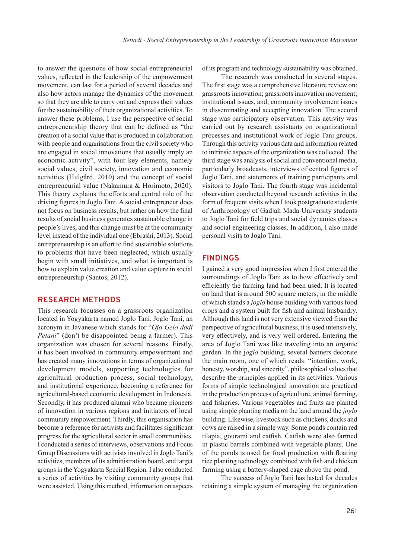to answer the questions of how social entrepreneurial values, reflected in the leadership of the empowerment movement, can last for a period of several decades and also how actors manage the dynamics of the movement so that they are able to carry out and express their values for the sustainability of their organizational activities. To answer these problems, I use the perspective of social entrepreneurship theory that can be defined as "the creation of a social value that is produced in collaboration with people and organisations from the civil society who are engaged in social innovations that usually imply an economic activity", with four key elements, namely social values, civil society, innovation and economic activities (Hulgård, 2010) and the concept of social entrepreneurial value (Nakamura & Horimoto, 2020). This theory explains the efforts and central role of the driving figures in Joglo Tani. A social entrepreneur does not focus on business results, but rather on how the final results of social business generates sustainable change in people's lives, and this change must be at the community level instead of the individual one (Ebrashi, 2013). Social entrepreneurship is an effort to find sustainable solutions to problems that have been neglected, which usually begin with small initiatives, and what is important is how to explain value creation and value capture in social entrepreneurship (Santos, 2012).

#### **RESEARCH METHODS**

This research focusses on a grassroots organization located in Yogyakarta named Joglo Tani. Joglo Tani, an acronym in Javanese which stands for "*Ojo Gelo dadi Petani*" (don't be disappointed being a farmer). This organization was chosen for several reasons. Firstly, it has been involved in community empowerment and has created many innovations in terms of organizational development models, supporting technologies for agricultural production process, social technology, and institutional experience, becoming a reference for agricultural-based economic development in Indonesia. Secondly, it has produced alumni who became pioneers of innovation in various regions and initiators of local community empowerment. Thirdly, this organisation has become a reference for activists and facilitates significant progress for the agricultural sector in small communities. I conducted a series of interviews, observations and Focus Group Discussions with activists involved in Joglo Tani's activities, members of its administration board, and target groups in the Yogyakarta Special Region. I also conducted a series of activities by visiting community groups that were assisted. Using this method, information on aspects of its program and technology sustainability was obtained.

The research was conducted in several stages. The first stage was a comprehensive literature review on: grassroots innovation; grassroots innovation movement; institutional issues, and; community involvement issues in disseminating and accepting innovation. The second stage was participatory observation. This activity was carried out by research assistants on organizational processes and institutional work of Joglo Tani groups. Through this activity various data and information related to intrinsic aspects of the organization was collected. The third stage was analysis of social and conventional media, particularly broadcasts, interviews of central figures of Joglo Tani, and statements of training participants and visitors to Joglo Tani. The fourth stage was incidental observation conducted beyond research activities in the form of frequent visits when I took postgraduate students of Anthropology of Gadjah Mada University students to Joglo Tani for field trips and social dynamics classes and social engineering classes. In addition, I also made personal visits to Joglo Tani.

#### **FINDINGS**

I gained a very good impression when I first entered the surroundings of Joglo Tani as to how effectively and efficiently the farming land had been used. It is located on land that is around 500 square meters, in the middle of which stands a *joglo* house building with various food crops and a system built for fish and animal husbandry. Although this land is not very extensive viewed from the perspective of agricultural business, it is used intensively, very effectively, and is very well ordered. Entering the area of Joglo Tani was like traveling into an organic garden. In the j*oglo* building, several banners decorate the main room, one of which reads: "intention, work, honesty, worship, and sincerity", philosophical values that describe the principles applied in its activities. Various forms of simple technological innovation are practiced in the production process of agriculture, animal farming, and fisheries. Various vegetables and fruits are planted using simple planting media on the land around the *joglo*  building. Likewise, livestock such as chickens, ducks and cows are raised in a simple way. Some ponds contain red tilapia, gourami and catfish. Catfish were also farmed in plastic barrels combined with vegetable plants. One of the ponds is used for food production with floating rice planting technology combined with fish and chicken farming using a battery-shaped cage above the pond.

The success of Joglo Tani has lasted for decades retaining a simple system of managing the organization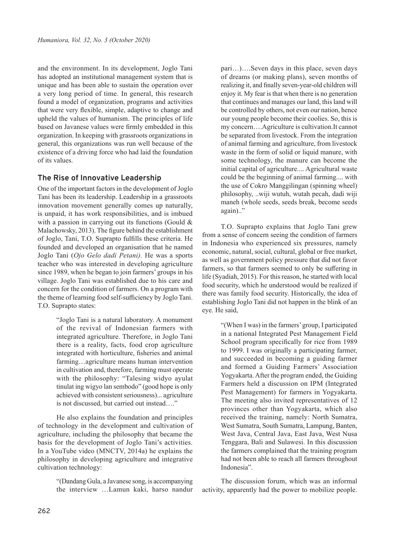and the environment. In its development, Joglo Tani has adopted an institutional management system that is unique and has been able to sustain the operation over a very long period of time. In general, this research found a model of organization, programs and activities that were very flexible, simple, adaptive to change and upheld the values of humanism. The principles of life based on Javanese values were firmly embedded in this organization. In keeping with grassroots organizations in general, this organizations was run well because of the existence of a driving force who had laid the foundation of its values.

#### **The Rise of Innovative Leadership**

One of the important factors in the development of Joglo Tani has been its leadership. Leadership in a grassroots innovation movement generally comes up naturally, is unpaid, it has work responsibilities, and is imbued with a passion in carrying out its functions (Gould & Malachowsky, 2013). The figure behind the establishment of Joglo, Tani, T.O. Suprapto fulfills these criteria. He founded and developed an organisation that he named Joglo Tani (*Ojo Gelo dadi Petani).* He was a sports teacher who was interested in developing agriculture since 1989, when he began to join farmers' groups in his village. Joglo Tani was established due to his care and concern for the condition of farmers. On a program with the theme of learning food self-sufficiency by Joglo Tani. T.O. Suprapto states:

> "Joglo Tani is a natural laboratory. A monument of the revival of Indonesian farmers with integrated agriculture. Therefore, in Joglo Tani there is a reality, facts, food crop agriculture integrated with horticulture, fisheries and animal farming…agriculture means human intervention in cultivation and, therefore, farming must operate with the philosophy: "Talesing widyo ayulat tinulat ing wigyo lan sembodo" (good hope is only achieved with consistent seriousness)... agriculture is not discussed, but carried out instead…."

He also explains the foundation and principles of technology in the development and cultivation of agriculture, including the philosophy that became the basis for the development of Joglo Tani's activities. In a YouTube video (MNCTV, 2014a) he explains the philosophy in developing agriculture and integrative cultivation technology:

> "(Dandang Gula, a Javanese song, is accompanying the interview …Lamun kaki, harso nandur

pari…)….Seven days in this place, seven days of dreams (or making plans), seven months of realizing it, and finally seven-year-old children will enjoy it. My fear is that when there is no generation that continues and manages our land, this land will be controlled by others, not even our nation, hence our young people become their coolies. So, this is my concern….Agriculture is cultivation.It cannot be separated from livestock. From the integration of animal farming and agriculture, from livestock waste in the form of solid or liquid manure, with some technology, the manure can become the initial capital of agriculture.... Agricultural waste could be the beginning of animal farming.... with the use of Cokro Manggilingan (spinning wheel) philosophy, ..wiji wutuh, wutah pecah, dadi wiji maneh (whole seeds, seeds break, become seeds again).."

T.O. Suprapto explains that Joglo Tani grew from a sense of concern seeing the condition of farmers in Indonesia who experienced six pressures, namely economic, natural, social, cultural, global or free market, as well as government policy pressure that did not favor farmers, so that farmers seemed to only be suffering in life (Syadiah, 2015). For this reason, he started with local food security, which he understood would be realized if there was family food security. Historically, the idea of establishing Joglo Tani did not happen in the blink of an eye. He said,

> "(When I was) in the farmers' group, I participated in a national Integrated Pest Management Field School program specifically for rice from 1989 to 1999. I was originally a participating farmer, and succeeded in becoming a guiding farmer and formed a Guiding Farmers' Association Yogyakarta. After the program ended, the Guiding Farmers held a discussion on IPM (Integrated Pest Management) for farmers in Yogyakarta. The meeting also invited representatives of 12 provinces other than Yogyakarta, which also received the training, namely: North Sumatra, West Sumatra, South Sumatra, Lampung, Banten, West Java, Central Java, East Java, West Nusa Tenggara, Bali and Sulawesi. In this discussion the farmers complained that the training program had not been able to reach all farmers throughout Indonesia".

The discussion forum, which was an informal activity, apparently had the power to mobilize people.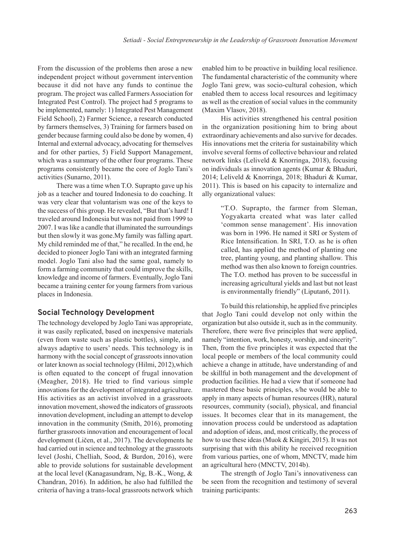From the discussion of the problems then arose a new independent project without government intervention because it did not have any funds to continue the program. The project was called Farmers Association for Integrated Pest Control). The project had 5 programs to be implemented, namely: 1) Integrated Pest Management Field School), 2) Farmer Science, a research conducted by farmers themselves, 3) Training for farmers based on gender because farming could also be done by women, 4) Internal and external advocacy, advocating for themselves and for other parties, 5) Field Support Management, which was a summary of the other four programs. These programs consistently became the core of Joglo Tani's activities (Sunarno, 2011).

There was a time when T.O. Suprapto gave up his job as a teacher and toured Indonesia to do coaching. It was very clear that voluntarism was one of the keys to the success of this group. He revealed, "But that's hard! I traveled around Indonesia but was not paid from 1999 to 2007. I was like a candle that illuminated the surroundings but then slowly it was gone.My family was falling apart. My child reminded me of that," he recalled. In the end, he decided to pioneer Joglo Tani with an integrated farming model. Joglo Tani also had the same goal, namely to form a farming community that could improve the skills, knowledge and income of farmers. Eventually, Joglo Tani became a training center for young farmers from various places in Indonesia.

#### **Social Technology Development**

The technology developed by Joglo Tani was appropriate, it was easily replicated, based on inexpensive materials (even from waste such as plastic bottles), simple, and always adaptive to users' needs. This technology is in harmony with the social concept of grassroots innovation or later known as social technology (Hilmi, 2012),which is often equated to the concept of frugal innovation (Meagher, 2018). He tried to find various simple innovations for the development of integrated agriculture. His activities as an activist involved in a grassroots innovation movement, showed the indicators of grassroots innovation development, including an attempt to develop innovation in the community (Smith, 2016), promoting further grassroots innovation and encouragement of local development (Ličen, et al., 2017). The developments he had carried out in science and technology at the grassroots level (Joshi, Chelliah, Sood, & Burdon, 2016), were able to provide solutions for sustainable development at the local level (Kanagasundram, Ng, B.-K., Wong, & Chandran, 2016). In addition, he also had fulfilled the criteria of having a trans-local grassroots network which enabled him to be proactive in building local resilience. The fundamental characteristic of the community where Joglo Tani grew, was socio-cultural cohesion, which enabled them to access local resources and legitimacy as well as the creation of social values in the community (Maxim Vlasov, 2018).

His activities strengthened his central position in the organization positioning him to bring about extraordinary achievements and also survive for decades. His innovations met the criteria for sustainability which involve several forms of collective behaviour and related network links (Leliveld & Knorringa, 2018), focusing on individuals as innovation agents (Kumar & Bhaduri, 2014; Leliveld & Knorringa, 2018; Bhaduri & Kumar, 2011). This is based on his capacity to internalize and ally organizational values:

> "T.O. Suprapto, the farmer from Sleman, Yogyakarta created what was later called 'common sense management'. His innovation was born in 1996. He named it SRI or System of Rice Intensification. In SRI, T.O. as he is often called, has applied the method of planting one tree, planting young, and planting shallow. This method was then also known to foreign countries. The T.O. method has proven to be successful in increasing agricultural yields and last but not least is environmentally friendly" (Liputan6, 2011).

To build this relationship, he applied five principles that Joglo Tani could develop not only within the organization but also outside it, such as in the community. Therefore, there were five principles that were applied, namely "intention, work, honesty, worship, and sincerity". Then, from the five principles it was expected that the local people or members of the local community could achieve a change in attitude, have understanding of and be skillful in both management and the development of production facilities. He had a view that if someone had mastered these basic principles, s/he would be able to apply in many aspects of human resources (HR), natural resources, community (social), physical, and financial issues. It becomes clear that in its management, the innovation process could be understood as adaptation and adoption of ideas, and, most critically, the process of how to use these ideas (Muok & Kingiri, 2015). It was not surprising that with this ability he received recognition from various parties, one of whom, MNCTV, made him an agricultural hero (MNCTV, 2014b).

The strength of Joglo Tani's innovativeness can be seen from the recognition and testimony of several training participants: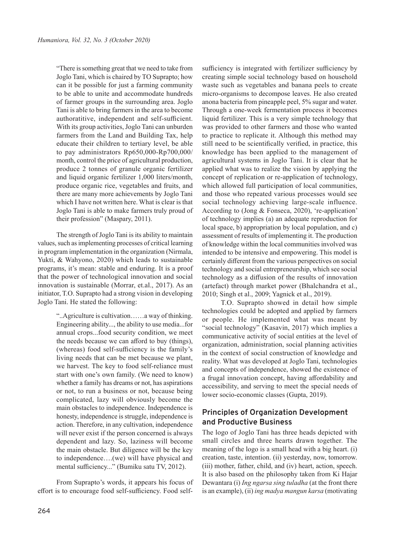"There is something great that we need to take from Joglo Tani, which is chaired by TO Suprapto; how can it be possible for just a farming community to be able to unite and accommodate hundreds of farmer groups in the surrounding area. Joglo Tani is able to bring farmers in the area to become authoratitive, independent and self-sufficient. With its group activities, Joglo Tani can unburden farmers from the Land and Building Tax, help educate their children to tertiary level, be able to pay administrators Rp650,000-Rp700,000/ month, control the price of agricultural production, produce 2 tonnes of granule organic fertilizer and liquid organic fertilizer 1,000 liters/month, produce organic rice, vegetables and fruits, and there are many more achievements by Joglo Tani which I have not written here. What is clear is that Joglo Tani is able to make farmers truly proud of their profession" (Maspary, 2011).

The strength of Joglo Tani is its ability to maintain values, such as implementing processes of critical learning in program implementation in the organization (Nirmala, Yukti, & Wahyono, 2020) which leads to sustainable programs, it's mean: stable and enduring. It is a proof that the power of technological innovation and social innovation is sustainable (Morrar, et.al., 2017). As an initiator, T.O. Suprapto had a strong vision in developing Joglo Tani. He stated the following:

> "..Agriculture is cultivation……a way of thinking. Engineering ability..., the ability to use media...for annual crops...food security condition, we meet the needs because we can afford to buy (things), (whereas) food self-sufficiency is the family's living needs that can be met because we plant, we harvest. The key to food self-reliance must start with one's own family. (We need to know) whether a family has dreams or not, has aspirations or not, to run a business or not, because being complicated, lazy will obviously become the main obstacles to independence. Independence is honesty, independence is struggle, independence is action. Therefore, in any cultivation, independence will never exist if the person concerned is always dependent and lazy. So, laziness will become the main obstacle. But diligence will be the key to independence….(we) will have physical and mental sufficiency..." (Bumiku satu TV, 2012).

From Suprapto's words, it appears his focus of effort is to encourage food self-sufficiency. Food self-

sufficiency is integrated with fertilizer sufficiency by creating simple social technology based on household waste such as vegetables and banana peels to create micro-organisms to decompose leaves. He also created anona bacteria from pineapple peel, 5% sugar and water. Through a one-week fermentation process it becomes liquid fertilizer. This is a very simple technology that was provided to other farmers and those who wanted to practice to replicate it. Although this method may still need to be scientifically verified, in practice, this knowledge has been applied to the management of agricultural systems in Joglo Tani. It is clear that he applied what was to realize the vision by applying the concept of replication or re-application of technology, which allowed full participation of local communities, and those who repeated various processes would see social technology achieving large-scale influence. According to (Jong & Fonseca, 2020), 're-application' of technology implies (a) an adequate reproduction for local space, b) appropriation by local population, and c) assessment of results of implementing it. The production of knowledge within the local communities involved was intended to be intensive and empowering. This model is certainly different from the various perspectives on social technology and social entrepreneurship, which see social technology as a diffusion of the results of innovation (artefact) through market power (Bhalchandra et al., 2010; Singh et al., 2009; Yagnick et al., 2019).

T.O. Suprapto showed in detail how simple technologies could be adopted and applied by farmers or people. He implemented what was meant by "social technology" (Kasavin, 2017) which implies a communicative activity of social entities at the level of organization, administration, social planning activities in the context of social construction of knowledge and reality. What was developed at Joglo Tani, technologies and concepts of independence, showed the existence of a frugal innovation concept, having affordability and accessibility, and serving to meet the special needs of lower socio-economic classes (Gupta, 2019).

# **Principles of Organization Development and Productive Business**

The logo of Joglo Tani has three heads depicted with small circles and three hearts drawn together. The meaning of the logo is a small head with a big heart. (i) creation, taste, intention. (ii) yesterday, now, tomorrow. (iii) mother, father, child, and (iv) heart, action, speech. It is also based on the philosophy taken from Ki Hajar Dewantara (i) *Ing ngarsa sing tuladha* (at the front there is an example), (ii) *ing madya mangun karsa* (motivating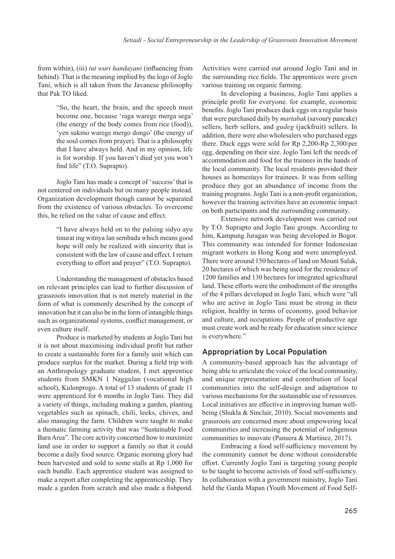from within), (iii) *tut wuri handayani* (influencing from behind). That is the meaning implied by the logo of Joglo Tani, which is all taken from the Javanese philosophy that Pak TO liked.

> "So, the heart, the brain, and the speech must become one, because 'raga warege merga sega' (the energy of the body comes from rice (food)), 'yen sukmo warege mergo dongo' (the energy of the soul comes from prayer). That is a philosophy that I have always held. And in my opinion, life is for worship. If you haven't died yet you won't find life" (T.O. Suprapto).

Joglo Tani has made a concept of 'success' that is not centered on individuals but on many people instead. Organization development though cannot be separated from the existence of various obstacles. To overcome this, he relied on the value of cause and effect.

> "I have always held on to the palsing sidyo ayu tinurat ing witnya lan sembada which means good hope will only be realized with sincerity that is consistent with the law of cause and effect. I return everything to effort and prayer" (T.O. Suprapto).

Understanding the management of obstacles based on relevant principles can lead to further discussion of grassroots innovation that is not merely material in the form of what is commonly described by the concept of innovation but it can also be in the form of intangible things such as organizational systems, conflict management, or even culture itself.

Produce is marketed by students at Joglo Tani but it is not about maximising individual profit but rather to create a sustainable form for a family unit which can produce surplus for the market. During a field trip with an Anthropology graduate student, I met apprentice students from SMKN 1 Naggulan (vocational high school), Kulonprogo. A total of 13 students of grade 11 were apprenticed for 6 months in Joglo Tani. They did a variety of things, including making a garden, planting vegetables such as spinach, chili, leeks, chives, and also managing the farm. Children were taught to make a thematic farming activity that was "Sustainable Food Barn Area". The core activity concerned how to maximize land use in order to support a family so that it could become a daily food source. Organic morning glory had been harvested and sold to some stalls at Rp 1,000 for each bundle. Each apprentice student was assigned to make a report after completing the apprenticeship. They made a garden from scratch and also made a fishpond. Activities were carried out around Joglo Tani and in the surrounding rice fields. The apprentices were given various training on organic farming.

In developing a business, Joglo Tani applies a principle profit for everyone. for example, economic benefits. Joglo Tani produces duck eggs on a regular basis that were purchased daily by *martabak* (savoury pancake) sellers, herb sellers, and *gudeg* (jackfruit) sellers. In addition, there were also wholesalers who purchased eggs there. Duck eggs were sold for Rp 2,200-Rp 2,300/per egg, depending on their size. Joglo Tani left the needs of accommodation and food for the trainees in the hands of the local community. The local residents provided their houses as homestays for trainees. It was from selling produce they got an abundance of income from the training programs. Joglo Tani is a non-profit organization, however the training activities have an economic impact on both participants and the surrounding community.

Extensive network development was carried out by T.O. Suprapto and Joglo Tani groups. According to him, Kampung Juragan was being developed in Bogor. This community was intended for former Indonesian migrant workers in Hong Kong and were unemployed. There were around 150 hectares of land on Mount Salak, 20 hectares of which was being used for the residence of 1200 families and 130 hectares for integrated agricultural land. These efforts were the embodiment of the strengths of the 4 pillars developed in Joglo Tani, which were "all who are active in Joglo Tani must be strong in their religion, healthy in terms of economy, good behavior and culture, and occupations. People of productive age must create work and be ready for education since science is everywhere."

## **Appropriation by Local Population**

A community-based approach has the advantage of being able to articulate the voice of the local community, and unique representation and contribution of local communities into the self-design and adaptation to various mechanisms for the sustainable use of resources. Local initiatives are effective in improving human wellbeing (Shukla & Sinclair, 2010). Social movements and grassroots are concerned more about empowering local communities and increasing the potential of indigenous communities to innovate (Pansera & Martinez, 2017).

Embracing a food self-sufficiency movement by the community cannot be done without considerable effort. Currently Joglo Tani is targeting young people to be taught to become activists of food self-sufficiency. In collaboration with a government ministry, Joglo Tani held the Garda Mapan (Youth Movement of Food Self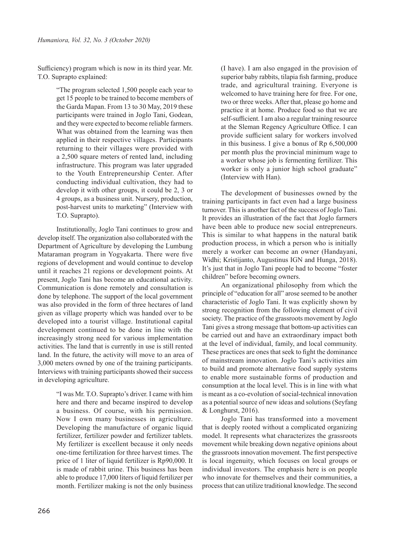Sufficiency) program which is now in its third year. Mr. T.O. Suprapto explained:

> "The program selected 1,500 people each year to get 15 people to be trained to become members of the Garda Mapan. From 13 to 30 May, 2019 these participants were trained in Joglo Tani, Godean, and they were expected to become reliable farmers. What was obtained from the learning was then applied in their respective villages. Participants returning to their villages were provided with a 2,500 square meters of rented land, including infrastructure. This program was later upgraded to the Youth Entrepreneurship Center. After conducting individual cultivation, they had to develop it with other groups, it could be 2, 3 or 4 groups, as a business unit. Nursery, production, post-harvest units to marketing" (Interview with T.O. Suprapto).

Institutionally, Joglo Tani continues to grow and develop itself. The organization also collaborated with the Department of Agriculture by developing the Lumbung Mataraman program in Yogyakarta. There were five regions of development and would continue to develop until it reaches 21 regions or development points. At present, Joglo Tani has become an educational activity. Communication is done remotely and consultation is done by telephone. The support of the local government was also provided in the form of three hectares of land given as village property which was handed over to be developed into a tourist village. Institutional capital development continued to be done in line with the increasingly strong need for various implementation activities. The land that is currently in use is still rented land. In the future, the activity will move to an area of 3,000 meters owned by one of the training participants. Interviews with training participants showed their success in developing agriculture.

> "I was Mr. T.O. Suprapto's driver. I came with him here and there and became inspired to develop a business. Of course, with his permission. Now I own many businesses in agriculture. Developing the manufacture of organic liquid fertilizer, fertilizer powder and fertilizer tablets. My fertilizer is excellent because it only needs one-time fertilization for three harvest times. The price of 1 liter of liquid fertilizer is Rp90,000. It is made of rabbit urine. This business has been able to produce 17,000 liters of liquid fertilizer per month. Fertilizer making is not the only business

(I have). I am also engaged in the provision of superior baby rabbits, tilapia fish farming, produce trade, and agricultural training. Everyone is welcomed to have training here for free. For one, two or three weeks. After that, please go home and practice it at home. Produce food so that we are self-sufficient. I am also a regular training resource at the Sleman Regency Agriculture Office. I can provide sufficient salary for workers involved in this business. I give a bonus of Rp 6,500,000 per month plus the provincial minimum wage to a worker whose job is fermenting fertilizer. This worker is only a junior high school graduate" (Interview with Han).

The development of businesses owned by the training participants in fact even had a large business turnover. This is another fact of the success of Joglo Tani. It provides an illustration of the fact that Joglo farmers have been able to produce new social entrepreneurs. This is similar to what happens in the natural batik production process, in which a person who is initially merely a worker can become an owner (Handayani, Widhi; Kristijanto, Augustinus IGN and Hunga, 2018). It's just that in Joglo Tani people had to become "foster children" before becoming owners.

An organizational philosophy from which the principle of "education for all" arose seemed to be another characteristic of Joglo Tani. It was explicitly shown by strong recognition from the following element of civil society. The practice of the grassroots movement by Joglo Tani gives a strong message that bottom-up activities can be carried out and have an extraordinary impact both at the level of individual, family, and local community. These practices are ones that seek to fight the dominance of mainstream innovation. Joglo Tani's activities aim to build and promote alternative food supply systems to enable more sustainable forms of production and consumption at the local level. This is in line with what is meant as a co-evolution of social-technical innovation as a potential source of new ideas and solutions (Seyfang & Longhurst, 2016).

Joglo Tani has transformed into a movement that is deeply rooted without a complicated organizing model. It represents what characterizes the grassroots movement while breaking down negative opinions about the grassroots innovation movement. The first perspective is local ingenuity, which focuses on local groups or individual investors. The emphasis here is on people who innovate for themselves and their communities, a process that can utilize traditional knowledge. The second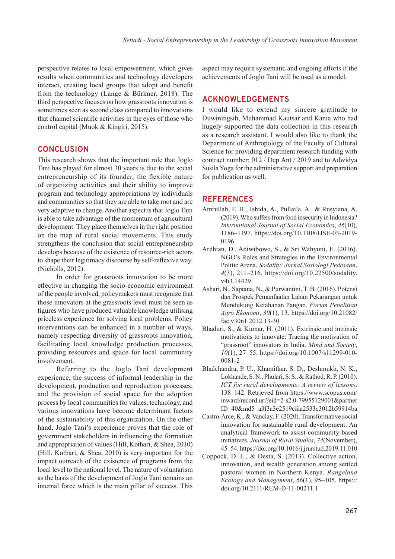perspective relates to local empowerment, which gives results when communities and technology developers interact, creating local groups that adopt and benefit from the technology (Lange & Bürkner, 2018). The third perspective focuses on how grassroots innovation is sometimes seen as second class compared to innovations that channel scientific activities in the eyes of those who control capital (Muok & Kingiri, 2015).

#### **CONCLUSION**

This research shows that the important role that Joglo Tani has played for almost 30 years is due to the social entrepreneurship of its founder, the flexible nature of organizing activities and their ability to improve program and technology appropriations by individuals and communities so that they are able to take root and are very adaptive to change. Another aspect is that Joglo Tani is able to take advantage of the momentum of agricultural development. They place themselves in the right position on the map of rural social movements. This study strengthens the conclusion that social entrepreneurship develops because of the existence of resource-rich actors to shape their legitimacy discourse by self-reflexive way. (Nicholls, 2012).

In order for grassroots innovation to be more effective in changing the socio-economic environment of the people involved, policymakers must recognize that those innovators at the grassroots level must be seen as figures who have produced valuable knowledge utilising priceless experience for solving local problems. Policy interventions can be enhanced in a number of ways, namely respecting diversity of grassroots innovation, facilitating local knowledge production processes, providing resources and space for local community involvement.

Referring to the Joglo Tani development experience, the success of informal leadership in the development, production and reproduction processes, and the provision of social space for the adoption process by local communities for values, technology, and various innovations have become determinant factors of the sustainability of this organization. On the other hand, Joglo Tani's experience proves that the role of government stakeholders in influencing the formation and appropriation of values (Hill, Kothari, & Shea, 2010) (Hill, Kothari, & Shea, 2010) is very important for the impact outreach of the existence of programs from the local level to the national level. The nature of voluntarism as the basis of the development of Joglo Tani remains an internal force which is the main pillar of success. This aspect may require systematic and ongoing efforts if the achievements of Joglo Tani will be used as a model.

#### **ACKNOWLEDGEMENTS**

I would like to extend my sincere gratitude to Duwiningsih, Muhammad Kautsar and Kania who had hugely supported the data collection in this research as a research assistant. I would also like to thank the Department of Anthropology of the Faculty of Cultural Science for providing department research funding with contract number: 012 / Dep.Ant / 2019 and to Adwidya Susila Yoga for the administrative support and preparation for publication as well.

#### **REFERENCES**

- Amrullah, E. R., Ishida, A., Pullaila, A., & Rusyiana, A. (2019). Who suffers from food insecurity in Indonesia? *International Journal of Social Economics*, *46*(10), 1186–1197. https://doi.org/10.1108/IJSE-03-2019- 0196
- Ardhian, D., Adiwibowo, S., & Sri Wahyuni, E. (2016). NGO's Roles and Strategies in the Environmental Politic Arena. *Sodality: Jurnal Sosiologi Pedesaan*, *4*(3), 211–216. https://doi.org/10.22500/sodality. v4i3.14429
- Ashari, N., Saptana, N., & Purwantini, T. B. (2016). Potensi dan Prospek Pemanfaatan Lahan Pekarangan untuk Mendukung Ketahanan Pangan. *Forum Penelitian Agro Ekonomi*, *30*(1), 13. https://doi.org/10.21082/ fae.v30n1.2012.13-30
- Bhaduri, S., & Kumar, H. (2011). Extrinsic and intrinsic motivations to innovate: Tracing the motivation of "grassroot" innovators in India. *Mind and Society*, *10*(1), 27–55. https://doi.org/10.1007/s11299-010- 0081-2
- Bhalchandra, P. U., Khamitkar, S. D., Deshmukh, N. K., Lokhande, S. N., Phulari, S. S., & Rathod, R. P. (2010). *ICT for rural developments: A review of lessons*. 138–142. Retrieved from https://www.scopus.com/ inward/record.uri?eid=2-s2.0-79955129001&partner ID=40&md5=a3f3a3e2519cfaa2533c3012b59914ba
- Castro-Arce, K., & Vanclay, F. (2020). Transformative social innovation for sustainable rural development: An analytical framework to assist community-based initiatives. *Journal of Rural Studies*, *74*(November), 45–54. https://doi.org/10.1016/j.jrurstud.2019.11.010
- Coppock, D. L., & Desta, S. (2013). Collective action, innovation, and wealth generation among settled pastoral women in Northern Kenya. *Rangeland Ecology and Management*, *66*(1), 95–105. https:// doi.org/10.2111/REM-D-11-00211.1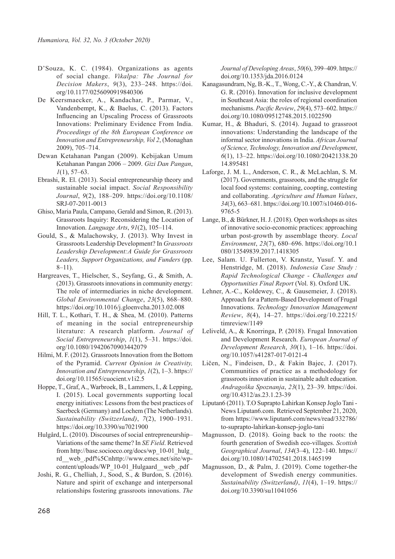- D'Souza, K. C. (1984). Organizations as agents of social change. *Vikalpa: The Journal for Decision Makers*, *9*(3), 233–248. https://doi. org/10.1177/0256090919840306
- De Keersmaecker, A., Kandachar, P., Parmar, V., Vandenbempt, K., & Baelus, C. (2013). Factors Influencing an Upscaling Process of Grassroots Innovations: Preliminary Evidence From India. *Proceedings of the 8th European Conference on Innovation and Entrepreneurship, Vol 2*, (Monaghan 2009), 705–714.
- Dewan Ketahanan Pangan (2009). Kebijakan Umum Ketahanan Pangan 2006 – 2009. *Gizi Dan Pangan*, *1*(1), 57–63.
- Ebrashi, R. El. (2013). Social entrepreneurship theory and sustainable social impact. *Social Responsibility Journal*, *9*(2), 188–209. https://doi.org/10.1108/ SRJ-07-2011-0013
- Ghiso, Maria Paula, Campano, Gerald and Simon, R. (2013). Grassroots Inquiry: Reconsidering the Location of Innovation. *Language Arts*, *91*(2), 105–114.
- Gould, S., & Malachowsky, J. (2013). Why Invest in Grassroots Leadership Development? In *Grassroots Leadership Development:A Guide for Grassroots Leaders, Support Organizations, and Funders* (pp.  $8-11$ ).
- Hargreaves, T., Hielscher, S., Seyfang, G., & Smith, A. (2013). Grassroots innovations in community energy: The role of intermediaries in niche development. *Global Environmental Change*, *23*(5), 868–880. https://doi.org/10.1016/j.gloenvcha.2013.02.008
- Hill, T. L., Kothari, T. H., & Shea, M. (2010). Patterns of meaning in the social entrepreneurship literature: A research platform. *Journal of Social Entrepreneurship*, *1*(1), 5–31. https://doi. org/10.1080/19420670903442079
- Hilmi, M. F. (2012). Grassroots Innovation from the Bottom of the Pyramid. *Current Opinion in Creativity, Innovation and Entrepreneurship*, *1*(2), 1–3. https:// doi.org/10.11565/cuocient.v1i2.5
- Hoppe, T., Graf, A., Warbroek, B., Lammers, I., & Lepping, I. (2015). Local governments supporting local energy initiatives: Lessons from the best practices of Saerbeck (Germany) and Lochem (The Netherlands). *Sustainability (Switzerland)*, *7*(2), 1900–1931. https://doi.org/10.3390/su7021900
- Hulgård, L. (2010). Discourses of social entrepreneurship– Variations of the same theme? In *SE Field*. Retrieved from http://base.socioeco.org/docs/wp\_10-01\_hulg\_ rd\_\_web\_.pdf%5Cnhttp://www.emes.net/site/wpcontent/uploads/WP\_10-01\_Hulgaard\_\_web\_.pdf
- Joshi, R. G., Chelliah, J., Sood, S., & Burdon, S. (2016). Nature and spirit of exchange and interpersonal relationships fostering grassroots innovations. *The*

*Journal of Developing Areas*, *50*(6), 399–409. https:// doi.org/10.1353/jda.2016.0124

- Kanagasundram, Ng, B.-K., T., Wong, C.-Y., & Chandran, V. G. R. (2016). Innovation for inclusive development in Southeast Asia: the roles of regional coordination mechanisms. *Pacific Review*, *29*(4), 573–602. https:// doi.org/10.1080/09512748.2015.1022590
- Kumar, H., & Bhaduri, S. (2014). Jugaad to grassroot innovations: Understanding the landscape of the informal sector innovations in India. *African Journal of Science, Technology, Innovation and Development*, *6*(1), 13–22. https://doi.org/10.1080/20421338.20 14.895481
- Laforge, J. M. L., Anderson, C. R., & McLachlan, S. M. (2017). Governments, grassroots, and the struggle for local food systems: containing, coopting, contesting and collaborating. *Agriculture and Human Values*, *34*(3), 663–681. https://doi.org/10.1007/s10460-016- 9765-5
- Lange, B., & Bürkner, H. J. (2018). Open workshops as sites of innovative socio-economic practices: approaching urban post-growth by assemblage theory. *Local Environment*, *23*(7), 680–696. https://doi.org/10.1 080/13549839.2017.1418305
- Lee, Salam. U. Fullerton, V. Kranstz, Yusuf. Y. and Henstridge, M. (2018). *Indonesia Case Study : Rapid Technological Change - Challenges and Opportunities Final Report* (Vol. 8). Oxford UK.
- Lehner, A.-C., Koldewey, C., & Gausemeier, J. (2018). Approach for a Pattern-Based Development of Frugal Innovations. *Technology Innovation Management Review*, *8*(4), 14–27. https://doi.org/10.22215/ timreview/1149
- Leliveld, A., & Knorringa, P. (2018). Frugal Innovation and Development Research. *European Journal of Development Research*, *30*(1), 1–16. https://doi. org/10.1057/s41287-017-0121-4
- Ličen, N., Findeisen, D., & Fakin Bajec, J. (2017). Communities of practice as a methodology for grassroots innovation in sustainable adult education. *Andragoška Spoznanja*, *23*(1), 23–39. https://doi. org/10.4312/as.23.1.23-39
- Liputan6 (2011). T.O Suprapto Lahirkan Konsep Joglo Tani News Liputan6.com. Retrieved September 21, 2020, from https://www.liputan6.com/news/read/332786/ to-suprapto-lahirkan-konsep-joglo-tani
- Magnusson, D. (2018). Going back to the roots: the fourth generation of Swedish eco-villages. *Scottish Geographical Journal*, *134*(3–4), 122–140. https:// doi.org/10.1080/14702541.2018.1465199
- Magnusson, D., & Palm, J. (2019). Come together-the development of Swedish energy communities. *Sustainability (Switzerland)*, *11*(4), 1–19. https:// doi.org/10.3390/su11041056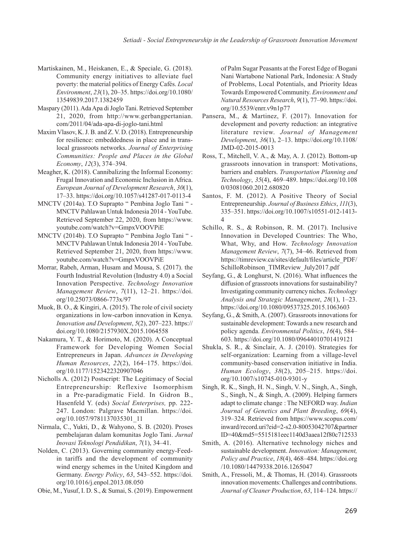- Martiskainen, M., Heiskanen, E., & Speciale, G. (2018). Community energy initiatives to alleviate fuel poverty: the material politics of Energy Cafés. *Local Environment*, *23*(1), 20–35. https://doi.org/10.1080/ 13549839.2017.1382459
- Maspary (2011). Ada Apa di Joglo Tani. Retrieved September 21, 2020, from http://www.gerbangpertanian. com/2011/04/ada-apa-di-joglo-tani.html
- Maxim Vlasov, K. J. B. and Z. V. D. (2018). Entrepreneurship for resilience: embeddedness in place and in translocal grassroots networks. *Journal of Enterprising Communities: People and Places in the Global Economy*, *12*(3), 374–394.
- Meagher, K. (2018). Cannibalizing the Informal Economy: Frugal Innovation and Economic Inclusion in Africa. *European Journal of Development Research*, *30*(1), 17–33. https://doi.org/10.1057/s41287-017-0113-4
- MNCTV (2014a). T.O Suprapto " Pembina Joglo Tani " MNCTV Pahlawan Untuk Indonesia 2014 - YouTube. Retrieved September 22, 2020, from https://www. youtube.com/watch?v=GmpxVOOVPiE
- MNCTV (2014b). T.O Suprapto " Pembina Joglo Tani " MNCTV Pahlawan Untuk Indonesia 2014 - YouTube. Retrieved September 21, 2020, from https://www. youtube.com/watch?v=GmpxVOOVPiE
- Morrar, Rabeh, Arman, Husam and Mousa, S. (2017). the Fourth Industrial Revolution (Industry 4.0) a Social Innovation Perspective. *Technology Innovation Management Review*, *7*(11), 12–21. https://doi. org/10.25073/0866-773x/97
- Muok, B. O., & Kingiri, A. (2015). The role of civil society organizations in low-carbon innovation in Kenya. *Innovation and Development*, *5*(2), 207–223. https:// doi.org/10.1080/2157930X.2015.1064558
- Nakamura, Y. T., & Horimoto, M. (2020). A Conceptual Framework for Developing Women Social Entrepreneurs in Japan. *Advances in Developing Human Resources*, *22*(2), 164–175. https://doi. org/10.1177/1523422320907046
- Nicholls A. (2012) Postscript: The Legitimacy of Social Entrepreneurship: Reflexive Isomorphism in a Pre-paradigmatic Field. In Gidron B., Hasenfeld Y. (eds) *Social Enterprises,* pp. 222- 247. London: Palgrave Macmillan. https://doi. org/10.1057/9781137035301\_11
- Nirmala, C., Yukti, D., & Wahyono, S. B. (2020). Proses pembelajaran dalam komunitas Joglo Tani. *Jurnal Inovasi Teknologi Pendidikan*, *7*(1), 34–41.
- Nolden, C. (2013). Governing community energy-Feedin tariffs and the development of community wind energy schemes in the United Kingdom and Germany. *Energy Policy*, *63*, 543–552. https://doi. org/10.1016/j.enpol.2013.08.050
- Obie, M., Yusuf, I. D. S., & Sumai, S. (2019). Empowerment

of Palm Sugar Peasants at the Forest Edge of Bogani Nani Wartabone National Park, Indonesia: A Study of Problems, Local Potentials, and Priority Ideas Towards Empowered Community. *Environment and Natural Resources Research*, *9*(1), 77–90. https://doi. org/10.5539/enrr.v9n1p77

- Pansera, M., & Martinez, F. (2017). Innovation for development and poverty reduction: an integrative literature review. *Journal of Management Development*, *36*(1), 2–13. https://doi.org/10.1108/ JMD-02-2015-0013
- Ross, T., Mitchell, V. A., & May, A. J. (2012). Bottom-up grassroots innovation in transport: Motivations, barriers and enablers. *Transportation Planning and Technology*, *35*(4), 469–489. https://doi.org/10.108 0/03081060.2012.680820
- Santos, F. M. (2012). A Positive Theory of Social Entrepreneurship. *Journal of Business Ethics*, *111*(3), 335–351. https://doi.org/10.1007/s10551-012-1413- 4
- Schillo, R. S., & Robinson, R. M. (2017). Inclusive Innovation in Developed Countries: The Who, What, Why, and How. *Technology Innovation Management Review*, *7*(7), 34–46. Retrieved from https://timreview.ca/sites/default/files/article\_PDF/ SchilloRobinson\_TIMReview\_July2017.pdf
- Seyfang, G., & Longhurst, N. (2016). What influences the diffusion of grassroots innovations for sustainability? Investigating community currency niches. *Technology Analysis and Strategic Management*, *28*(1), 1–23. https://doi.org/10.1080/09537325.2015.1063603
- Seyfang, G., & Smith, A. (2007). Grassroots innovations for sustainable development: Towards a new research and policy agenda. *Environmental Politics*, *16*(4), 584– 603. https://doi.org/10.1080/09644010701419121
- Shukla, S. R., & Sinclair, A. J. (2010). Strategies for self-organization: Learning from a village-level community-based conservation initiative in India. *Human Ecology*, *38*(2), 205–215. https://doi. org/10.1007/s10745-010-9301-y
- Singh, R. K., Singh, H. N., Singh, V. N., Singh, A., Singh, S., Singh, N., & Singh, A. (2009). Helping farmers adapt to climate change : The NEFORD way. *Indian Journal of Genetics and Plant Breeding*, *69*(4), 319–324. Retrieved from https://www.scopus.com/ inward/record.uri?eid=2-s2.0-80053042707&partner ID=40&md5=5515181eec1140d3aaea12f80c712533
- Smith, A. (2016). Alternative technology niches and sustainable development. *Innovation: Management, Policy and Practice*, *18*(4), 468–484. https://doi.org /10.1080/14479338.2016.1265047
- Smith, A., Fressoli, M., & Thomas, H. (2014). Grassroots innovation movements: Challenges and contributions. *Journal of Cleaner Production*, *63*, 114–124. https://